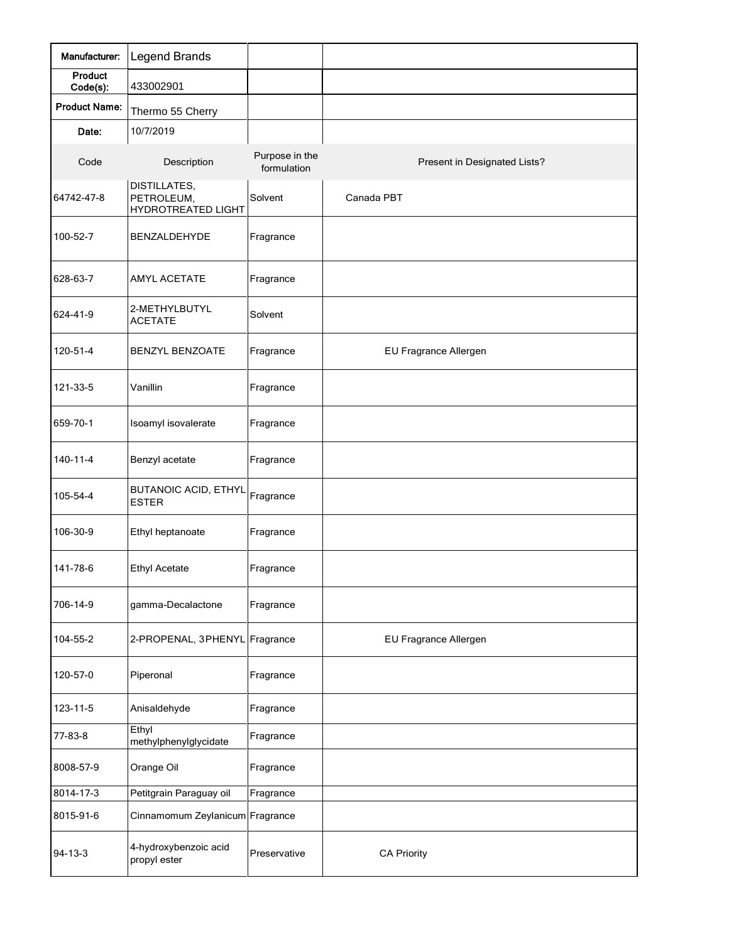| Manufacturer:        | <b>Legend Brands</b>                                    |                               |                              |
|----------------------|---------------------------------------------------------|-------------------------------|------------------------------|
| Product<br>Code(s):  | 433002901                                               |                               |                              |
| <b>Product Name:</b> | Thermo 55 Cherry                                        |                               |                              |
| Date:                | 10/7/2019                                               |                               |                              |
| Code                 | Description                                             | Purpose in the<br>formulation | Present in Designated Lists? |
| 64742-47-8           | <b>DISTILLATES,</b><br>PETROLEUM,<br>HYDROTREATED LIGHT | Solvent                       | Canada PBT                   |
| 100-52-7             | BENZALDEHYDE                                            | Fragrance                     |                              |
| 628-63-7             | <b>AMYL ACETATE</b>                                     | Fragrance                     |                              |
| 624-41-9             | 2-METHYLBUTYL<br><b>ACETATE</b>                         | Solvent                       |                              |
| 120-51-4             | <b>BENZYL BENZOATE</b>                                  | Fragrance                     | EU Fragrance Allergen        |
| 121-33-5             | Vanillin                                                | Fragrance                     |                              |
| 659-70-1             | Isoamyl isovalerate                                     | Fragrance                     |                              |
| 140-11-4             | Benzyl acetate                                          | Fragrance                     |                              |
| 105-54-4             | <b>BUTANOIC ACID, ETHYL</b><br><b>ESTER</b>             | Fragrance                     |                              |
| 106-30-9             | Ethyl heptanoate                                        | Fragrance                     |                              |
| 141-78-6             | <b>Ethyl Acetate</b>                                    | Fragrance                     |                              |
| 706-14-9             | gamma-Decalactone                                       | Fragrance                     |                              |
| 104-55-2             | 2-PROPENAL, 3PHENYL                                     | Fragrance                     | EU Fragrance Allergen        |
| 120-57-0             | Piperonal                                               | Fragrance                     |                              |
| 123-11-5             | Anisaldehyde                                            | Fragrance                     |                              |
| 77-83-8              | Ethyl<br>methylphenylglycidate                          | Fragrance                     |                              |
| 8008-57-9            | Orange Oil                                              | Fragrance                     |                              |
| 8014-17-3            | Petitgrain Paraguay oil                                 | Fragrance                     |                              |
| 8015-91-6            | Cinnamomum Zeylanicum Fragrance                         |                               |                              |
| 94-13-3              | 4-hydroxybenzoic acid<br>propyl ester                   | Preservative                  | <b>CA Priority</b>           |